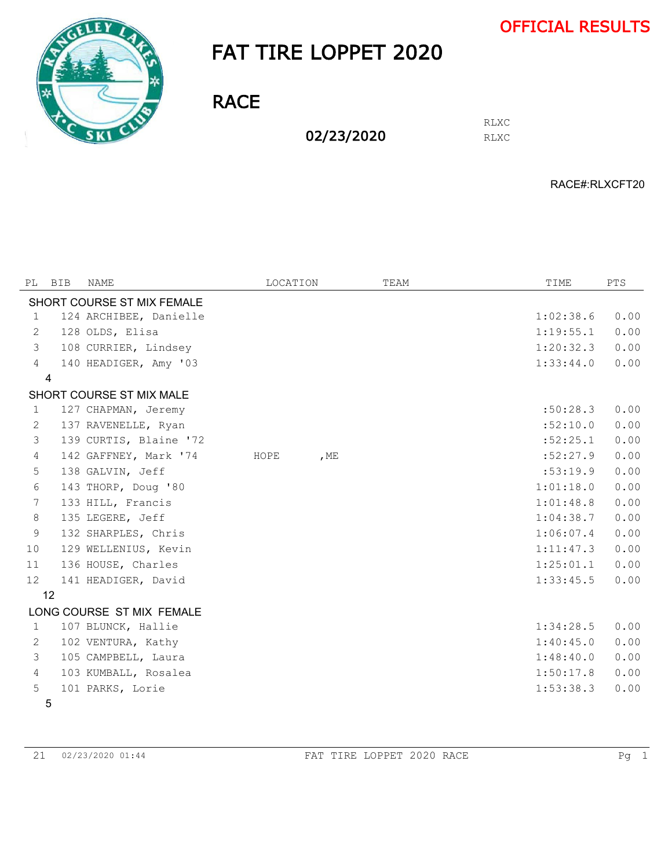

## FAT TIRE LOPPET 2020

**RACE** 

02/23/2020

RLXC RLXC

RACE#:RLXCFT20

| PL                       | BIB            | NAME                       | LOCATION |        | TEAM | TIME      | <b>PTS</b> |  |
|--------------------------|----------------|----------------------------|----------|--------|------|-----------|------------|--|
|                          |                | SHORT COURSE ST MIX FEMALE |          |        |      |           |            |  |
| 1                        |                | 124 ARCHIBEE, Danielle     |          |        |      | 1:02:38.6 | 0.00       |  |
| 2                        |                | 128 OLDS, Elisa            |          |        |      | 1:19:55.1 | 0.00       |  |
| 3                        |                | 108 CURRIER, Lindsey       |          |        |      | 1:20:32.3 | 0.00       |  |
| $\overline{4}$           |                | 140 HEADIGER, Amy '03      |          |        |      | 1:33:44.0 | 0.00       |  |
|                          | $\overline{4}$ |                            |          |        |      |           |            |  |
| SHORT COURSE ST MIX MALE |                |                            |          |        |      |           |            |  |
| 1                        |                | 127 CHAPMAN, Jeremy        |          |        |      | :50:28.3  | 0.00       |  |
| 2                        |                | 137 RAVENELLE, Ryan        |          |        |      | :52:10.0  | 0.00       |  |
| 3                        |                | 139 CURTIS, Blaine '72     |          |        |      | :52:25.1  | 0.00       |  |
| $\overline{4}$           |                | 142 GAFFNEY, Mark '74      | HOPE     | , $ME$ |      | :52:27.9  | 0.00       |  |
| 5                        |                | 138 GALVIN, Jeff           |          |        |      | :53:19.9  | 0.00       |  |
| 6                        |                | 143 THORP, Doug '80        |          |        |      | 1:01:18.0 | 0.00       |  |
| 7                        |                | 133 HILL, Francis          |          |        |      | 1:01:48.8 | 0.00       |  |
| 8                        |                | 135 LEGERE, Jeff           |          |        |      | 1:04:38.7 | 0.00       |  |
| 9                        |                | 132 SHARPLES, Chris        |          |        |      | 1:06:07.4 | 0.00       |  |
| 10                       |                | 129 WELLENIUS, Kevin       |          |        |      | 1:11:47.3 | 0.00       |  |
| 11                       |                | 136 HOUSE, Charles         |          |        |      | 1:25:01.1 | 0.00       |  |
| $12 \overline{ }$        |                | 141 HEADIGER, David        |          |        |      | 1:33:45.5 | 0.00       |  |
|                          | 12             |                            |          |        |      |           |            |  |
|                          |                | LONG COURSE ST MIX FEMALE  |          |        |      |           |            |  |
| 1                        |                | 107 BLUNCK, Hallie         |          |        |      | 1:34:28.5 | 0.00       |  |
| 2                        |                | 102 VENTURA, Kathy         |          |        |      | 1:40:45.0 | 0.00       |  |
| 3                        |                | 105 CAMPBELL, Laura        |          |        |      | 1:48:40.0 | 0.00       |  |
| $\overline{4}$           |                | 103 KUMBALL, Rosalea       |          |        |      | 1:50:17.8 | 0.00       |  |
| 5                        |                | 101 PARKS, Lorie           |          |        |      | 1:53:38.3 | 0.00       |  |